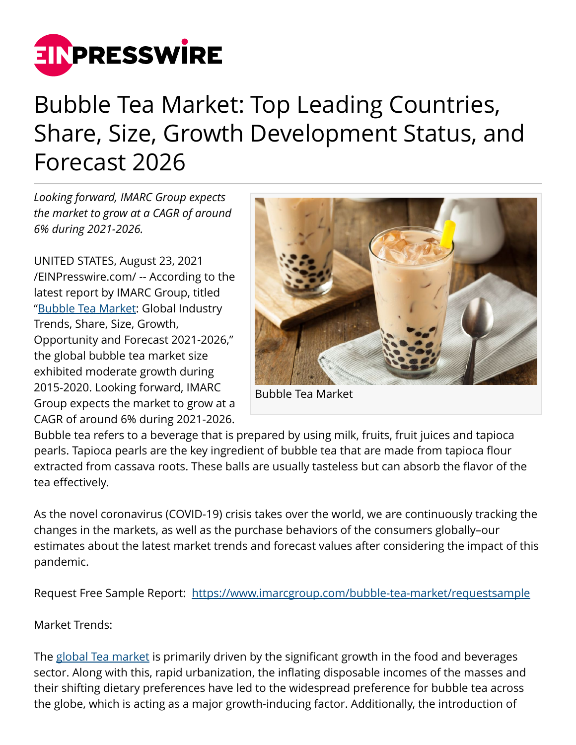

## Bubble Tea Market: Top Leading Countries, Share, Size, Growth Development Status, and Forecast 2026

*Looking forward, IMARC Group expects the market to grow at a CAGR of around 6% during 2021-2026.*

UNITED STATES, August 23, 2021 [/EINPresswire.com/](http://www.einpresswire.com) -- According to the latest report by IMARC Group, titled ["Bubble Tea Market:](https://www.imarcgroup.com/bubble-tea-market) Global Industry Trends, Share, Size, Growth, Opportunity and Forecast 2021-2026," the global bubble tea market size exhibited moderate growth during 2015-2020. Looking forward, IMARC Group expects the market to grow at a CAGR of around 6% during 2021-2026.



Bubble Tea Market

Bubble tea refers to a beverage that is prepared by using milk, fruits, fruit juices and tapioca pearls. Tapioca pearls are the key ingredient of bubble tea that are made from tapioca flour extracted from cassava roots. These balls are usually tasteless but can absorb the flavor of the tea effectively.

As the novel coronavirus (COVID-19) crisis takes over the world, we are continuously tracking the changes in the markets, as well as the purchase behaviors of the consumers globally–our estimates about the latest market trends and forecast values after considering the impact of this pandemic.

Request Free Sample Report: <https://www.imarcgroup.com/bubble-tea-market/requestsample>

Market Trends:

The [global Tea market](https://www.imarcgroup.com/tea-market) is primarily driven by the significant growth in the food and beverages sector. Along with this, rapid urbanization, the inflating disposable incomes of the masses and their shifting dietary preferences have led to the widespread preference for bubble tea across the globe, which is acting as a major growth-inducing factor. Additionally, the introduction of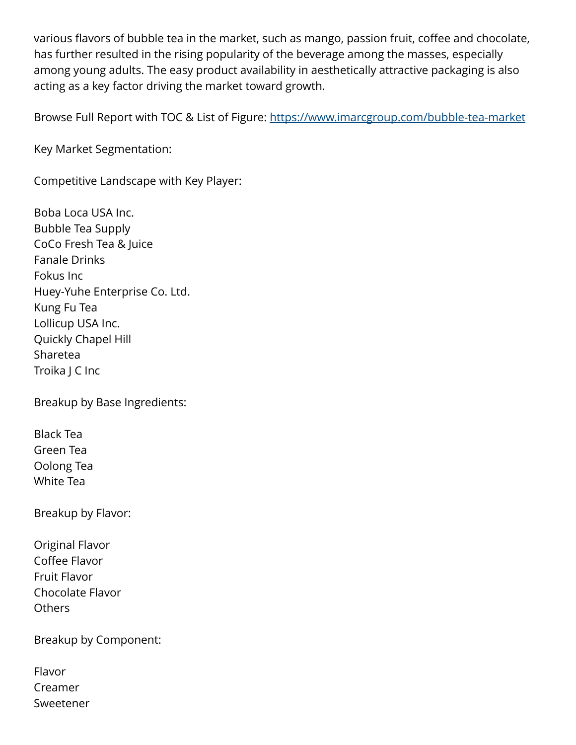various flavors of bubble tea in the market, such as mango, passion fruit, coffee and chocolate, has further resulted in the rising popularity of the beverage among the masses, especially among young adults. The easy product availability in aesthetically attractive packaging is also acting as a key factor driving the market toward growth.

Browse Full Report with TOC & List of Figure: <https://www.imarcgroup.com/bubble-tea-market>

Key Market Segmentation:

Competitive Landscape with Key Player:

Boba Loca USA Inc. Bubble Tea Supply CoCo Fresh Tea & Juice Fanale Drinks Fokus Inc Huey-Yuhe Enterprise Co. Ltd. Kung Fu Tea Lollicup USA Inc. Quickly Chapel Hill Sharetea Troika J C Inc

Breakup by Base Ingredients:

Black Tea Green Tea Oolong Tea White Tea

Breakup by Flavor:

Original Flavor Coffee Flavor Fruit Flavor Chocolate Flavor **Others** 

Breakup by Component:

| Flavor    |
|-----------|
| Creamer   |
| Sweetener |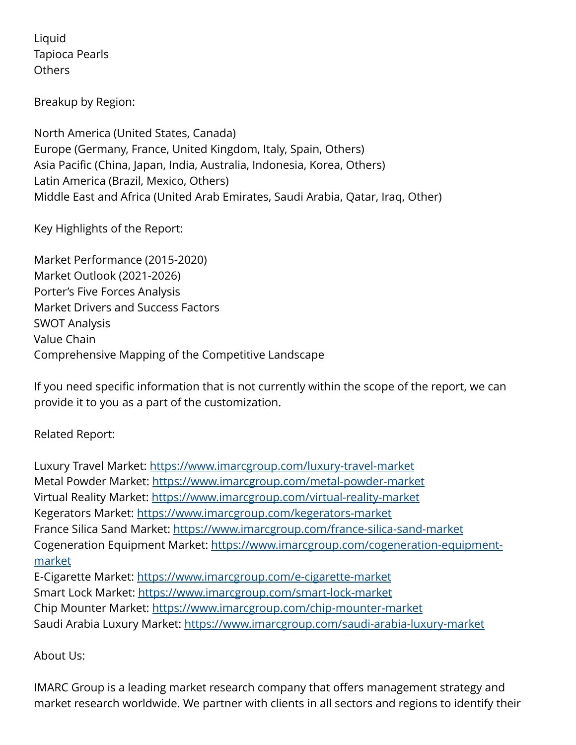Liquid Tapioca Pearls **Others** 

Breakup by Region:

North America (United States, Canada) Europe (Germany, France, United Kingdom, Italy, Spain, Others) Asia Pacific (China, Japan, India, Australia, Indonesia, Korea, Others) Latin America (Brazil, Mexico, Others) Middle East and Africa (United Arab Emirates, Saudi Arabia, Qatar, Iraq, Other)

Key Highlights of the Report:

Market Performance (2015-2020) Market Outlook (2021-2026) Porter's Five Forces Analysis Market Drivers and Success Factors SWOT Analysis Value Chain Comprehensive Mapping of the Competitive Landscape

If you need specific information that is not currently within the scope of the report, we can provide it to you as a part of the customization.

## Related Report:

Luxury Travel Market:<https://www.imarcgroup.com/luxury-travel-market> Metal Powder Market: <https://www.imarcgroup.com/metal-powder-market> Virtual Reality Market:<https://www.imarcgroup.com/virtual-reality-market> Kegerators Market: <https://www.imarcgroup.com/kegerators-market> France Silica Sand Market:<https://www.imarcgroup.com/france-silica-sand-market> Cogeneration Equipment Market: [https://www.imarcgroup.com/cogeneration-equipment](https://www.imarcgroup.com/cogeneration-equipment-market)[market](https://www.imarcgroup.com/cogeneration-equipment-market)

E-Cigarette Market: <https://www.imarcgroup.com/e-cigarette-market> Smart Lock Market: <https://www.imarcgroup.com/smart-lock-market> Chip Mounter Market: <https://www.imarcgroup.com/chip-mounter-market> Saudi Arabia Luxury Market:<https://www.imarcgroup.com/saudi-arabia-luxury-market>

## About Us:

IMARC Group is a leading market research company that offers management strategy and market research worldwide. We partner with clients in all sectors and regions to identify their